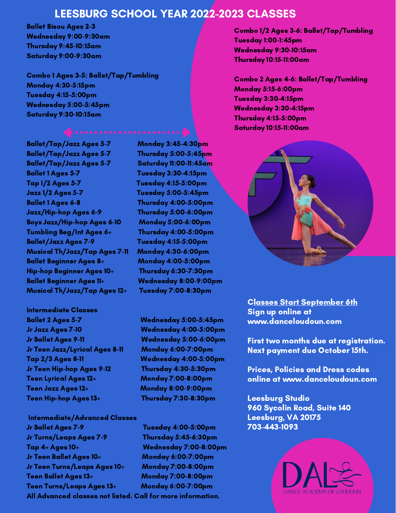# LEESBURG SCHOOL YEAR 2022-2023 CLASSES

Ballet Bisou Ages 2-3 Wednesday 9:00-9:30am Thursday 9:45-10:15am Saturday 9:00-9:30am

Combo 1 Ages 3-5: Ballet/Tap/Tumbling Monday 4:30-5:15pm Tuesday 4:15-5:00pm Wednesday 5:00-5:45pm Saturday 9:30-10:15am

Ballet/Tap/Jazz Ages 5-7 Monday 3:45-4:30pm Ballet/Tap/Jazz Ages 5-7 Thursday 5:00-5:45pm Ballet/Tap/Jazz Ages 5-7 Saturday 11:00-11:45am Ballet 1 Ages 5-7 Tuesday 3:30-4:15pm Tap I/2 Ages 5-7 Tuesday 4:15-5:00pm Jazz 1/2 Ages 5-7 Tuesday 5:00-5:45pm Ballet 1 Ages 6-8 Thursday 4:00-5:00pm Jazz/Hip-hop Ages 6-9 Thursday 5:00-6:00pm Boys Jazz/Hip-hop Ages 6-10 Monday 5:00-6:00pm Tumbling Beg/Int Ages 6+ Thursday 4:00-5:00pm Ballet/Jazz Ages 7-9 Tuesday 4:15-5:00pm Musical Th/Jazz/Tap Ages 7-11 Monday 4:30-6:00pm Ballet Beginner Ages 8+ Monday 4:00-5:00pm Hip-hop Beginner Ages 10+ Thursday 6:30-7:30pm Ballet Beginner Ages 11+ Wednesday 8:00-9:00pm Musical Th/Jazz/Tap Ages 12+ Tuesday 7:00-8:30pm

Intermediate Classes Ballet 2 Ages 5-7 Wednesday 5:00-5:45pm Jr Jazz Ages 7-10 Wednesday 4:00-5:00pm Jr Ballet Ages 9-11 Wednesday 5:00-6:00pm Jr Teen Jazz/Lyrical Ages 8-11 Monday 6:00-7:00pm Tap 2/3 Ages 8-11 Wednesday 4:00-5:00pm Jr Teen Hip-hop Ages 9-12 Thursday 4:30-5:30pm Teen Lyrical Ages 12+ Monday 7:00-8:00pm Teen Jazz Ages 12+ Monday 8:00-9:00pm Teen Hip-hop Ages 13+ Thursday 7:30-8:30pm

Intermediate/Advanced Classes Jr Ballet Ages 7-9 Tuesday 4:00-5:00pm Jr Turns/Leaps Ages 7-9 Thursday 5:45-6:30pm Tap 4+ Ages 10+ Wednesday 7:00-8:00pm Jr Teen Ballet Ages 10+ Monday 6:00-7:00pm Jr Teen Turns/Leaps Ages 10+ Monday 7:00-8:00pm Teen Ballet Ages 13+ Monday 7:00-8:00pm Teen Turns/Leaps Ages 13+ Monday 6:00-7:00pm All Advanced classes not listed. Call for more information.

Combo 1/2 Ages 3-6: Ballet/Tap/Tumbling Tuesday 1:00-1:45pm Wednesday 9:30-10:15am Thursday 10:15-11:00am

Combo 2 Ages 4-6: Ballet/Tap/Tumbling Monday 5:15-6:00pm Tuesday 3:30-4:15pm Wednesday 3:30-4:15pm Thursday 4:15-5:00pm Saturday 10:15-11:00am



Classes Start September 6th Sign up online at www.danceloudoun.com

First two months due at registration. Next payment due October 15th.

Prices, Policies and Dress codes online at www.danceloudoun.com

Leesburg Studio 960 Sycolin Road, Suite 140 Leesburg, VA 20175 703-443-1093